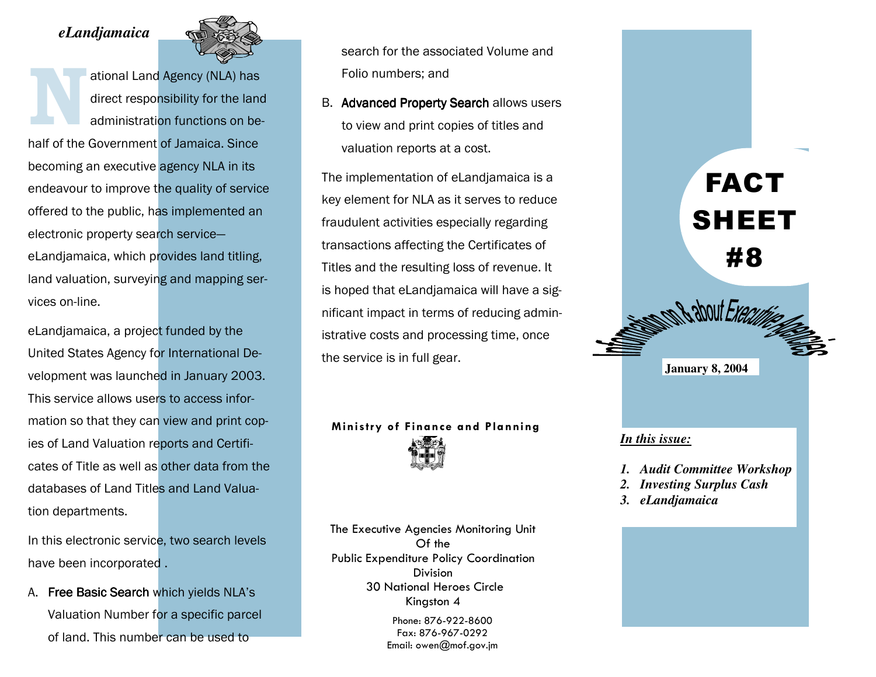## *eLandjamaica*



ational Land Agency (NLA) has<br>direct responsibility for the land<br>administration functions on behalf of the Government of Jamaica. Since becoming an executive agency NLA in its endeavour to improve the quality of service offered to the public, has implemented an electronic property search serviceeLandjamaica, which provides land titling, land valuation, surveying and mapping services on-line.

eLandjamaica, a project funded by the United States Agency for International Development was launched in January 2003. This service allows users to access information so that they can view and print copies of Land Valuation reports and Certificates of Title as well as other data from the databases of Land Titles and Land Valuation departments.

In this electronic service, two search levels have been incorporated .

A. Free Basic Search which yields NLA's Valuation Number for a specific parcel of land. This number can be used to

search for the associated Volume and Folio numbers; and

B. Advanced Property Search allows users to view and print copies of titles and valuation reports at a cost.

The implementation of eLandjamaica is a key element for NLA as it serves to reduce fraudulent activities especially regarding transactions affecting the Certificates of Titles and the resulting loss of revenue. It is hoped that eLandjamaica will have a significant impact in terms of reducing administrative costs and processing time, once the service is in full gear.

## Ministry of Finance and Planning



Kingston 4 The Executive Agencies Monitoring Unit Of the Public Expenditure Policy Coordination Division 30 National Heroes Circle

Phone: 876-922-8600 Fax: 876-967-0292 Email: owen@mof.gov.jm



#### *In this issue:*

- *1. Audit Committee Workshop*
- *2. Investing Surplus Cash*
- *3. eLandjamaica*